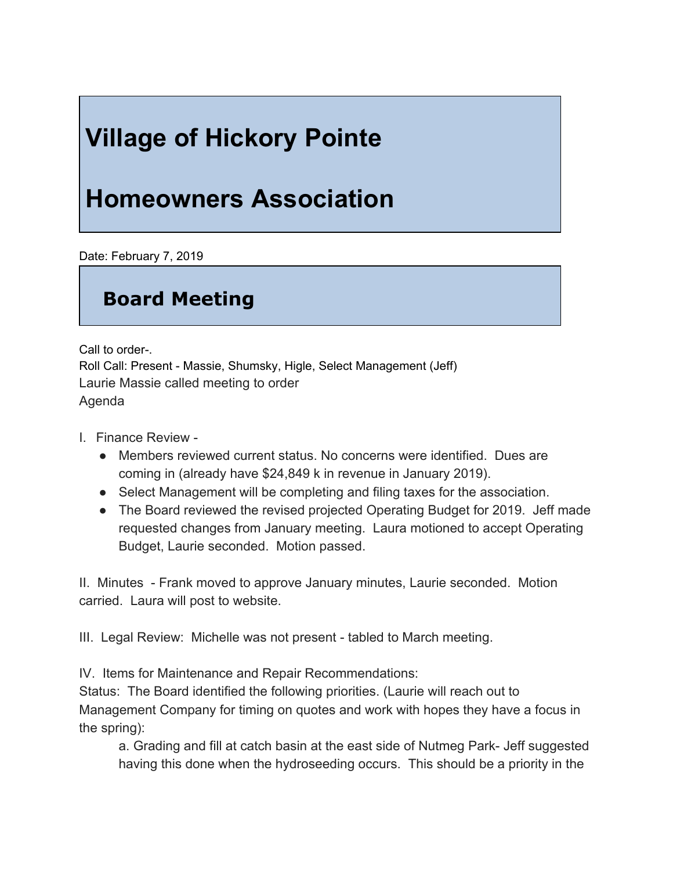## **Village of Hickory Pointe**

## **Homeowners Association**

Date: February 7, 2019

## **Board Meeting**

Call to order-. Roll Call: Present - Massie, Shumsky, Higle, Select Management (Jeff) Laurie Massie called meeting to order Agenda

- I. Finance Review
	- Members reviewed current status. No concerns were identified. Dues are coming in (already have \$24,849 k in revenue in January 2019).
	- Select Management will be completing and filing taxes for the association.
	- The Board reviewed the revised projected Operating Budget for 2019. Jeff made requested changes from January meeting. Laura motioned to accept Operating Budget, Laurie seconded. Motion passed.

II. Minutes - Frank moved to approve January minutes, Laurie seconded. Motion carried. Laura will post to website.

III. Legal Review: Michelle was not present - tabled to March meeting.

IV. Items for Maintenance and Repair Recommendations:

Status: The Board identified the following priorities. (Laurie will reach out to Management Company for timing on quotes and work with hopes they have a focus in the spring):

a. Grading and fill at catch basin at the east side of Nutmeg Park- Jeff suggested having this done when the hydroseeding occurs. This should be a priority in the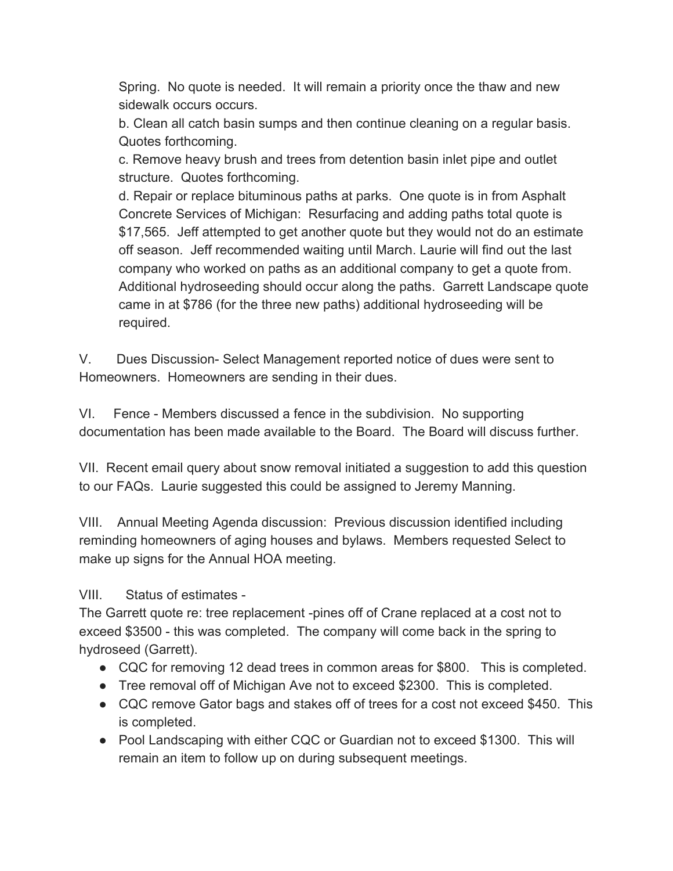Spring. No quote is needed. It will remain a priority once the thaw and new sidewalk occurs occurs.

b. Clean all catch basin sumps and then continue cleaning on a regular basis. Quotes forthcoming.

c. Remove heavy brush and trees from detention basin inlet pipe and outlet structure. Quotes forthcoming.

d. Repair or replace bituminous paths at parks. One quote is in from Asphalt Concrete Services of Michigan: Resurfacing and adding paths total quote is \$17,565. Jeff attempted to get another quote but they would not do an estimate off season. Jeff recommended waiting until March. Laurie will find out the last company who worked on paths as an additional company to get a quote from. Additional hydroseeding should occur along the paths. Garrett Landscape quote came in at \$786 (for the three new paths) additional hydroseeding will be required.

V. Dues Discussion- Select Management reported notice of dues were sent to Homeowners. Homeowners are sending in their dues.

VI. Fence - Members discussed a fence in the subdivision. No supporting documentation has been made available to the Board. The Board will discuss further.

VII. Recent email query about snow removal initiated a suggestion to add this question to our FAQs. Laurie suggested this could be assigned to Jeremy Manning.

VIII. Annual Meeting Agenda discussion: Previous discussion identified including reminding homeowners of aging houses and bylaws. Members requested Select to make up signs for the Annual HOA meeting.

VIII. Status of estimates -

The Garrett quote re: tree replacement -pines off of Crane replaced at a cost not to exceed \$3500 - this was completed. The company will come back in the spring to hydroseed (Garrett).

- CQC for removing 12 dead trees in common areas for \$800. This is completed.
- Tree removal off of Michigan Ave not to exceed \$2300. This is completed.
- CQC remove Gator bags and stakes off of trees for a cost not exceed \$450. This is completed.
- *●* Pool Landscaping with either CQC or Guardian not to exceed \$1300. This will remain an item to follow up on during subsequent meetings.